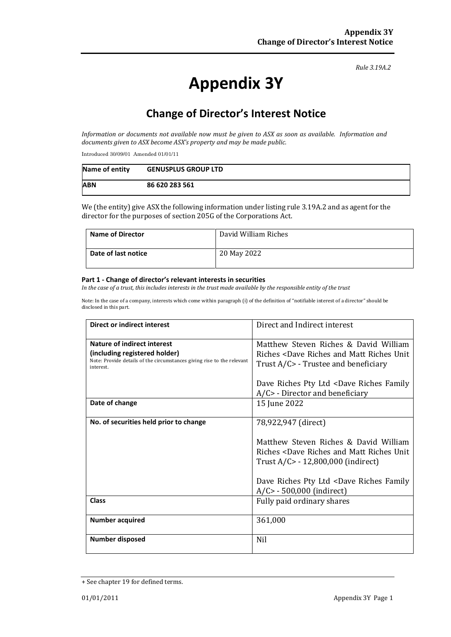#### *Rule 3.19A.2*

# **Appendix 3Y**

# **Change of Director's Interest Notice**

*Information or documents not available now must be given to ASX as soon as available. Information and documents given to ASX become ASX's property and may be made public.*

Introduced 30/09/01 Amended 01/01/11

| Name of entity | <b>GENUSPLUS GROUP LTD</b> |
|----------------|----------------------------|
| <b>ABN</b>     | 86 620 283 561             |

We (the entity) give ASX the following information under listing rule 3.19A.2 and as agent for the director for the purposes of section 205G of the Corporations Act.

| <b>Name of Director</b> | David William Riches |
|-------------------------|----------------------|
| Date of last notice     | 20 May 2022          |

#### **Part 1 - Change of director's relevant interests in securities**

*In the case of a trust, this includes interests in the trust made available by the responsible entity of the trust*

Note: In the case of a company, interests which come within paragraph (i) of the definition of "notifiable interest of a director" should be disclosed in this part.

| Direct or indirect interest                                                         | Direct and Indirect interest                                 |  |
|-------------------------------------------------------------------------------------|--------------------------------------------------------------|--|
| Nature of indirect interest                                                         | Matthew Steven Riches & David William                        |  |
| (including registered holder)                                                       | Riches <dave and="" matt="" riches="" th="" unit<=""></dave> |  |
| Note: Provide details of the circumstances giving rise to the relevant<br>interest. | Trust A/C> - Trustee and beneficiary                         |  |
|                                                                                     | Dave Riches Pty Ltd <dave family<="" riches="" th=""></dave> |  |
|                                                                                     | $A/C$ - Director and beneficiary                             |  |
| Date of change                                                                      | 15 June 2022                                                 |  |
| No. of securities held prior to change                                              | 78,922,947 (direct)                                          |  |
|                                                                                     | Matthew Steven Riches & David William                        |  |
|                                                                                     | Riches <dave and="" matt="" riches="" th="" unit<=""></dave> |  |
|                                                                                     | Trust A/C> - 12,800,000 (indirect)                           |  |
|                                                                                     | Dave Riches Pty Ltd <dave family<="" riches="" th=""></dave> |  |
|                                                                                     | $A/C$ - 500,000 (indirect)                                   |  |
| <b>Class</b>                                                                        | Fully paid ordinary shares                                   |  |
| <b>Number acquired</b>                                                              | 361,000                                                      |  |
|                                                                                     |                                                              |  |
| <b>Number disposed</b>                                                              | Nil                                                          |  |

<sup>+</sup> See chapter 19 for defined terms.